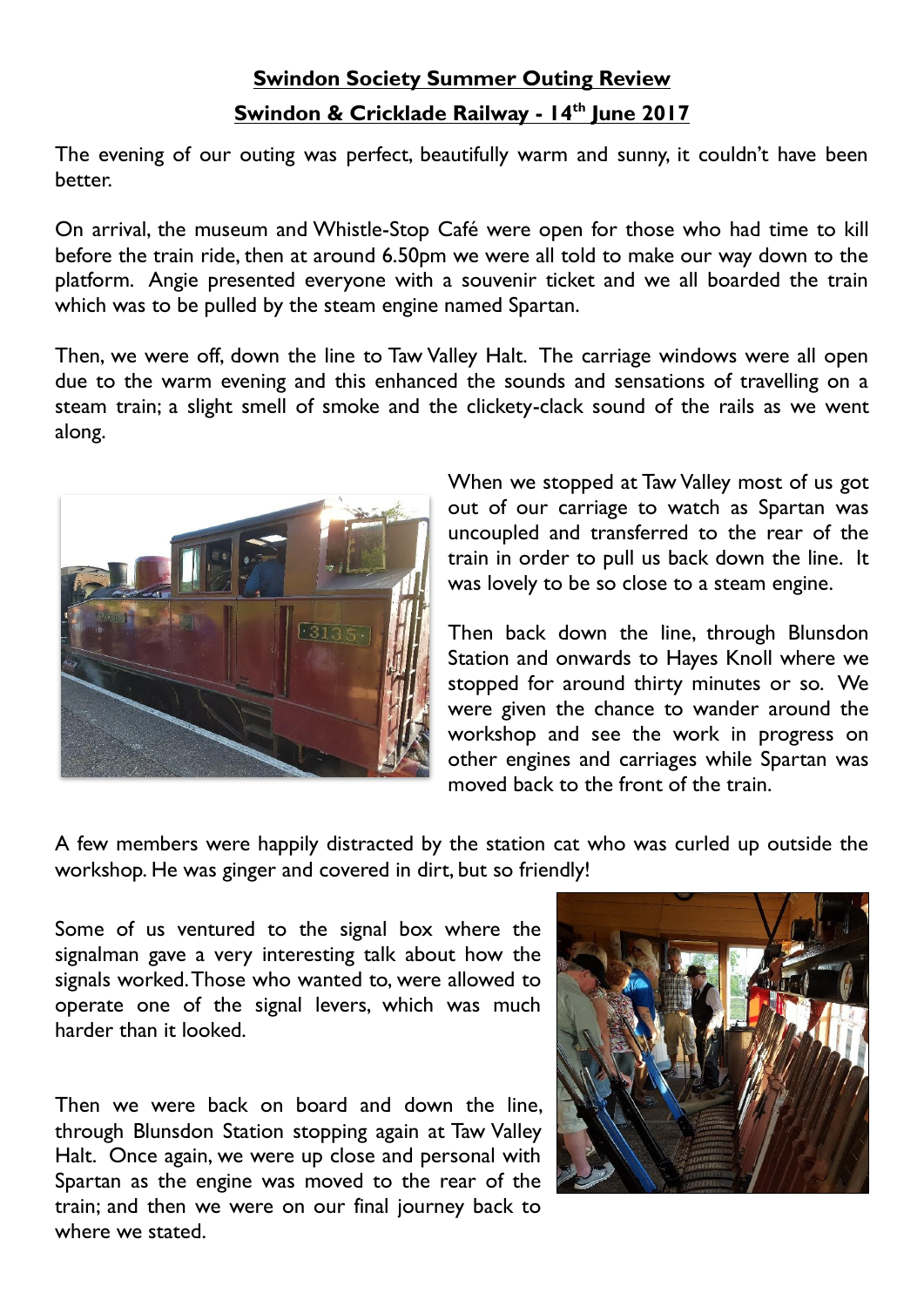## **Swindon Society Summer Outing Review Swindon & Cricklade Railway - 14th June 2017**

The evening of our outing was perfect, beautifully warm and sunny, it couldn't have been better.

On arrival, the museum and Whistle-Stop Café were open for those who had time to kill before the train ride, then at around 6.50pm we were all told to make our way down to the platform. Angie presented everyone with a souvenir ticket and we all boarded the train which was to be pulled by the steam engine named Spartan.

Then, we were off, down the line to Taw Valley Halt. The carriage windows were all open due to the warm evening and this enhanced the sounds and sensations of travelling on a steam train; a slight smell of smoke and the clickety-clack sound of the rails as we went along.



When we stopped at Taw Valley most of us got out of our carriage to watch as Spartan was uncoupled and transferred to the rear of the train in order to pull us back down the line. It was lovely to be so close to a steam engine.

Then back down the line, through Blunsdon Station and onwards to Hayes Knoll where we stopped for around thirty minutes or so. We were given the chance to wander around the workshop and see the work in progress on other engines and carriages while Spartan was moved back to the front of the train.

A few members were happily distracted by the station cat who was curled up outside the workshop. He was ginger and covered in dirt, but so friendly!

Some of us ventured to the signal box where the signalman gave a very interesting talk about how the signals worked. Those who wanted to, were allowed to operate one of the signal levers, which was much harder than it looked.

Then we were back on board and down the line, through Blunsdon Station stopping again at Taw Valley Halt. Once again, we were up close and personal with Spartan as the engine was moved to the rear of the train; and then we were on our final journey back to where we stated.